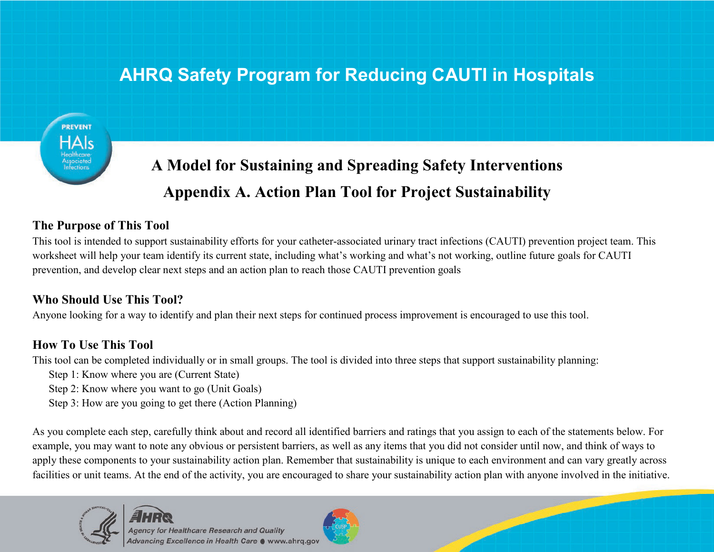# **AHRQ Safety Program for Reducing CAUTI in Hospitals**



# **A Model for Sustaining and Spreading Safety Interventions Appendix A. Action Plan Tool for Project Sustainability**

## **The Purpose of This Tool**

This tool is intended to support sustainability efforts for your catheter-associated urinary tract infections (CAUTI) prevention project team. This worksheet will help your team identify its current state, including what's working and what's not working, outline future goals for CAUTI prevention, and develop clear next steps and an action plan to reach those CAUTI prevention goals

# **Who Should Use This Tool?**

Anyone looking for a way to identify and plan their next steps for continued process improvement is encouraged to use this tool.

# **How To Use This Tool**

This tool can be completed individually or in small groups. The tool is divided into three steps that support sustainability planning:

- Step 1: Know where you are (Current State)
- Step 2: Know where you want to go (Unit Goals)
- Step 3: How are you going to get there (Action Planning)

As you complete each step, carefully think about and record all identified barriers and ratings that you assign to each of the statements below. For example, you may want to note any obvious or persistent barriers, as well as any items that you did not consider until now, and think of ways to apply these components to your sustainability action plan. Remember that sustainability is unique to each environment and can vary greatly across facilities or unit teams. At the end of the activity, you are encouraged to share your sustainability action plan with anyone involved in the initiative.



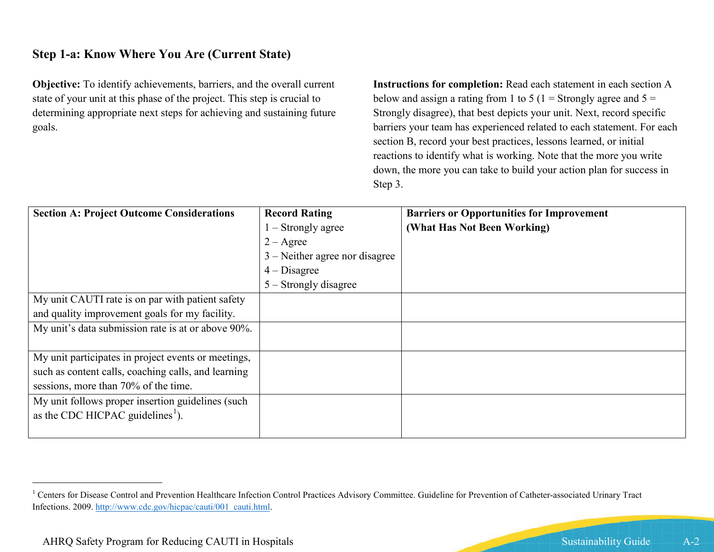## **Step 1-a: Know Where You Are (Current State)**

**Objective:** To identify achievements, barriers, and the overall current state of your unit at this phase of the project. This step is crucial to determining appropriate next steps for achieving and sustaining future goals.

<span id="page-1-0"></span>**Instructions for completion:** Read each statement in each section A below and assign a rating from 1 to 5 (1 = Strongly agree and  $5 =$ Strongly disagree), that best depicts your unit. Next, record specific barriers your team has experienced related to each statement. For each section B, record your best practices, lessons learned, or initial reactions to identify what is working. Note that the more you write down, the more you can take to build your action plan for success in Step 3.

| <b>Section A: Project Outcome Considerations</b>    | <b>Record Rating</b>             | <b>Barriers or Opportunities for Improvement</b> |
|-----------------------------------------------------|----------------------------------|--------------------------------------------------|
|                                                     | $1 -$ Strongly agree             | (What Has Not Been Working)                      |
|                                                     | $2 - \text{Agree}$               |                                                  |
|                                                     | $3$ – Neither agree nor disagree |                                                  |
|                                                     | $4 - Disagree$                   |                                                  |
|                                                     | $5 -$ Strongly disagree          |                                                  |
| My unit CAUTI rate is on par with patient safety    |                                  |                                                  |
| and quality improvement goals for my facility.      |                                  |                                                  |
| My unit's data submission rate is at or above 90%.  |                                  |                                                  |
|                                                     |                                  |                                                  |
| My unit participates in project events or meetings, |                                  |                                                  |
| such as content calls, coaching calls, and learning |                                  |                                                  |
| sessions, more than 70% of the time.                |                                  |                                                  |
| My unit follows proper insertion guidelines (such   |                                  |                                                  |
| as the CDC HICPAC guidelines <sup>1</sup> ).        |                                  |                                                  |
|                                                     |                                  |                                                  |

<sup>&</sup>lt;sup>1</sup> Centers for Disease Control and Prevention Healthcare Infection Control Practices Advisory Committee. Guideline for Prevention of Catheter-associated Urinary Tract Infections. 2009. [http://www.cdc.gov/hicpac/cauti/001\\_cauti.html.](http://www.cdc.gov/hicpac/cauti/001_cauti.html)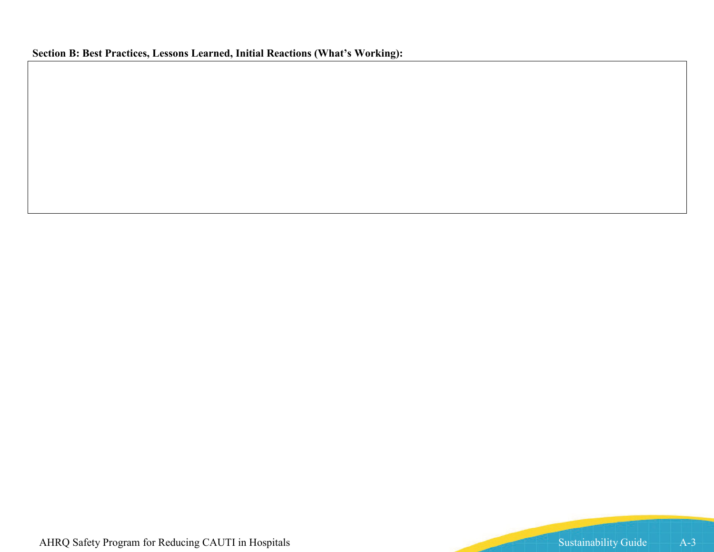# **Section B: Best Practices, Lessons Learned, Initial Reactions (What's Working):**

AHRQ Safety Program for Reducing CAUTI in Hospitals Sustainability Guide A-3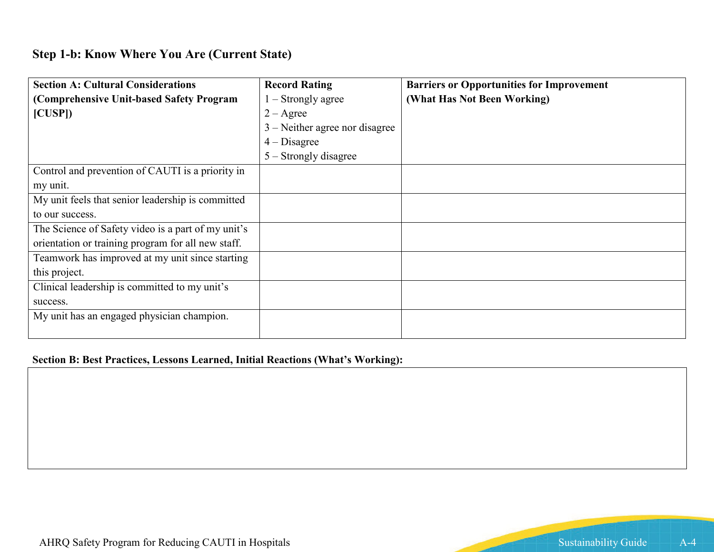# **Step 1-b: Know Where You Are (Current State)**

| <b>Section A: Cultural Considerations</b>          | <b>Record Rating</b>             | <b>Barriers or Opportunities for Improvement</b> |
|----------------------------------------------------|----------------------------------|--------------------------------------------------|
| (Comprehensive Unit-based Safety Program           | $1 -$ Strongly agree             | (What Has Not Been Working)                      |
| [CUSP]                                             | $2 - \text{Agree}$               |                                                  |
|                                                    | $3$ – Neither agree nor disagree |                                                  |
|                                                    | $4 - Disagree$                   |                                                  |
|                                                    | $5 -$ Strongly disagree          |                                                  |
| Control and prevention of CAUTI is a priority in   |                                  |                                                  |
| my unit.                                           |                                  |                                                  |
| My unit feels that senior leadership is committed  |                                  |                                                  |
| to our success.                                    |                                  |                                                  |
| The Science of Safety video is a part of my unit's |                                  |                                                  |
| orientation or training program for all new staff. |                                  |                                                  |
| Teamwork has improved at my unit since starting    |                                  |                                                  |
| this project.                                      |                                  |                                                  |
| Clinical leadership is committed to my unit's      |                                  |                                                  |
| success.                                           |                                  |                                                  |
| My unit has an engaged physician champion.         |                                  |                                                  |
|                                                    |                                  |                                                  |

### **Section B: Best Practices, Lessons Learned, Initial Reactions (What's Working):**

AHRQ Safety Program for Reducing CAUTI in Hospitals Sustainability Guide A-4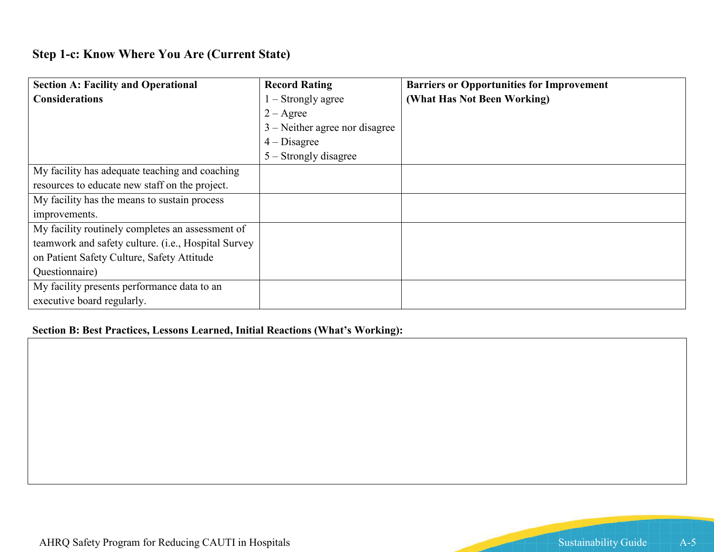# **Step 1-c: Know Where You Are (Current State)**

| <b>Section A: Facility and Operational</b>          | <b>Record Rating</b>             | <b>Barriers or Opportunities for Improvement</b> |
|-----------------------------------------------------|----------------------------------|--------------------------------------------------|
| <b>Considerations</b>                               | $\vert$ – Strongly agree         | (What Has Not Been Working)                      |
|                                                     | $2 - \text{Agree}$               |                                                  |
|                                                     | $3$ – Neither agree nor disagree |                                                  |
|                                                     | $4 - Disagree$                   |                                                  |
|                                                     | 5 – Strongly disagree            |                                                  |
| My facility has adequate teaching and coaching      |                                  |                                                  |
| resources to educate new staff on the project.      |                                  |                                                  |
| My facility has the means to sustain process        |                                  |                                                  |
| improvements.                                       |                                  |                                                  |
| My facility routinely completes an assessment of    |                                  |                                                  |
| teamwork and safety culture. (i.e., Hospital Survey |                                  |                                                  |
| on Patient Safety Culture, Safety Attitude          |                                  |                                                  |
| Questionnaire)                                      |                                  |                                                  |
| My facility presents performance data to an         |                                  |                                                  |
| executive board regularly.                          |                                  |                                                  |

#### **Section B: Best Practices, Lessons Learned, Initial Reactions (What's Working):**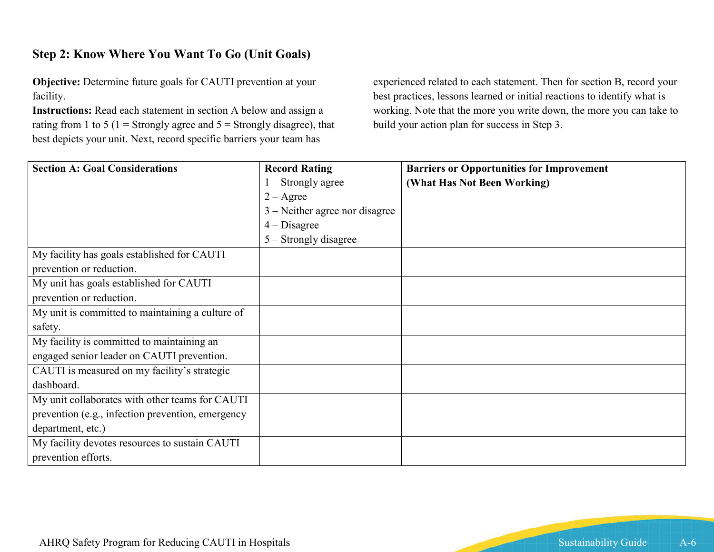# **Step 2: Know Where You Want To Go (Unit Goals)**

**Objective:** Determine future goals for CAUTI prevention at your facility.

**Instructions:** Read each statement in section A below and assign a rating from 1 to 5 (1 = Strongly agree and  $5 =$  Strongly disagree), that best depicts your unit. Next, record specific barriers your team has

experienced related to each statement. Then for section B, record your best practices, lessons learned or initial reactions to identify what is working. Note that the more you write down, the more you can take to build your action plan for success in Step 3.

| <b>Section A: Goal Considerations</b>             | <b>Record Rating</b>             | <b>Barriers or Opportunities for Improvement</b> |
|---------------------------------------------------|----------------------------------|--------------------------------------------------|
|                                                   | $1 -$ Strongly agree             | (What Has Not Been Working)                      |
|                                                   | $2 - \text{Agree}$               |                                                  |
|                                                   | $3$ – Neither agree nor disagree |                                                  |
|                                                   | $4 - Disagree$                   |                                                  |
|                                                   | $5 -$ Strongly disagree          |                                                  |
| My facility has goals established for CAUTI       |                                  |                                                  |
| prevention or reduction.                          |                                  |                                                  |
| My unit has goals established for CAUTI           |                                  |                                                  |
| prevention or reduction.                          |                                  |                                                  |
| My unit is committed to maintaining a culture of  |                                  |                                                  |
| safety.                                           |                                  |                                                  |
| My facility is committed to maintaining an        |                                  |                                                  |
| engaged senior leader on CAUTI prevention.        |                                  |                                                  |
| CAUTI is measured on my facility's strategic      |                                  |                                                  |
| dashboard.                                        |                                  |                                                  |
| My unit collaborates with other teams for CAUTI   |                                  |                                                  |
| prevention (e.g., infection prevention, emergency |                                  |                                                  |
| department, etc.)                                 |                                  |                                                  |
| My facility devotes resources to sustain CAUTI    |                                  |                                                  |
| prevention efforts.                               |                                  |                                                  |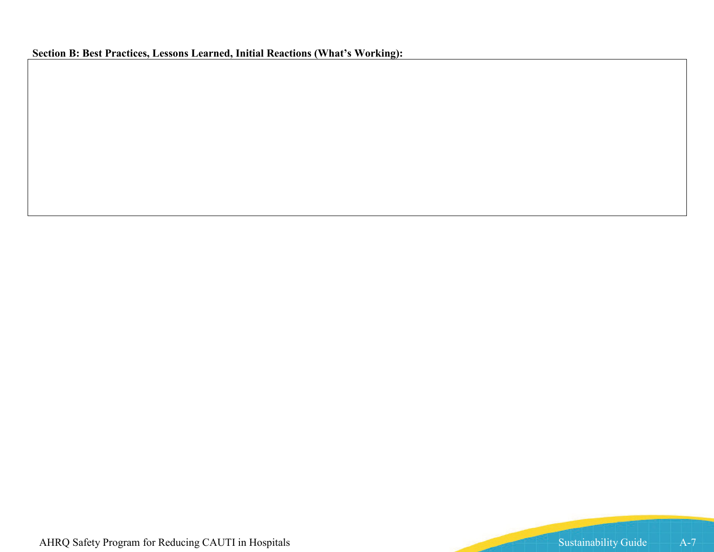**Section B: Best Practices, Lessons Learned, Initial Reactions (What's Working):**

AHRQ Safety Program for Reducing CAUTI in Hospitals Sustainability Guide A-7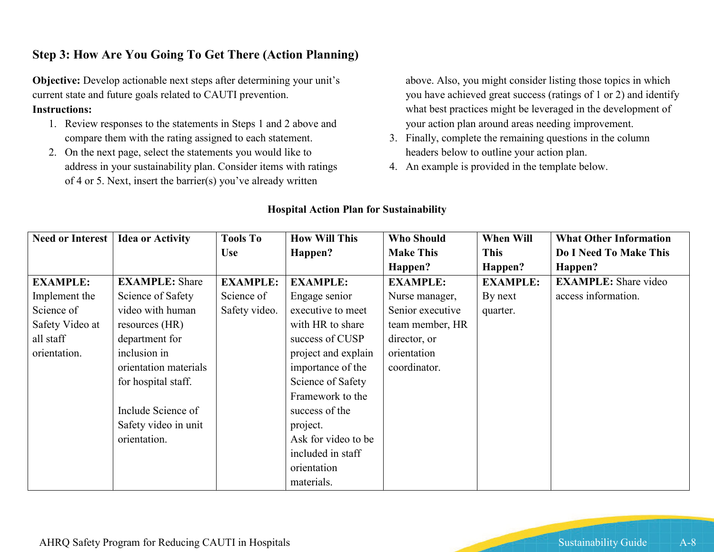## **Step 3: How Are You Going To Get There (Action Planning)**

**Objective:** Develop actionable next steps after determining your unit's current state and future goals related to CAUTI prevention. **Instructions:** 

- 1. Review responses to the statements in Steps 1 and 2 above and compare them with the rating assigned to each statement.
- 2. On the next page, select the statements you would like to address in your sustainability plan. Consider items with ratings of 4 or 5. Next, insert the barrier(s) you've already written

above. Also, you might consider listing those topics in which you have achieved great success (ratings of 1 or 2) and identify what best practices might be leveraged in the development of your action plan around areas needing improvement.

- 3. Finally, complete the remaining questions in the column headers below to outline your action plan.
- 4. An example is provided in the template below.

|                 | <b>Need or Interest   Idea or Activity</b> | <b>Tools To</b> | <b>How Will This</b> | <b>Who Should</b> | When Will       | <b>What Other Information</b> |
|-----------------|--------------------------------------------|-----------------|----------------------|-------------------|-----------------|-------------------------------|
|                 |                                            | <b>Use</b>      | Happen?              | <b>Make This</b>  | <b>This</b>     | Do I Need To Make This        |
|                 |                                            |                 |                      | Happen?           | Happen?         | Happen?                       |
| <b>EXAMPLE:</b> | <b>EXAMPLE:</b> Share                      | <b>EXAMPLE:</b> | <b>EXAMPLE:</b>      | <b>EXAMPLE:</b>   | <b>EXAMPLE:</b> | <b>EXAMPLE:</b> Share video   |
| Implement the   | Science of Safety                          | Science of      | Engage senior        | Nurse manager,    | By next         | access information.           |
| Science of      | video with human                           | Safety video.   | executive to meet    | Senior executive  | quarter.        |                               |
| Safety Video at | resources (HR)                             |                 | with HR to share     | team member, HR   |                 |                               |
| all staff       | department for                             |                 | success of CUSP      | director, or      |                 |                               |
| orientation.    | inclusion in                               |                 | project and explain  | orientation       |                 |                               |
|                 | orientation materials                      |                 | importance of the    | coordinator.      |                 |                               |
|                 | for hospital staff.                        |                 | Science of Safety    |                   |                 |                               |
|                 |                                            |                 | Framework to the     |                   |                 |                               |
|                 | Include Science of                         |                 | success of the       |                   |                 |                               |
|                 | Safety video in unit                       |                 | project.             |                   |                 |                               |
|                 | orientation.                               |                 | Ask for video to be  |                   |                 |                               |
|                 |                                            |                 | included in staff    |                   |                 |                               |
|                 |                                            |                 | orientation          |                   |                 |                               |
|                 |                                            |                 | materials.           |                   |                 |                               |

#### **Hospital Action Plan for Sustainability**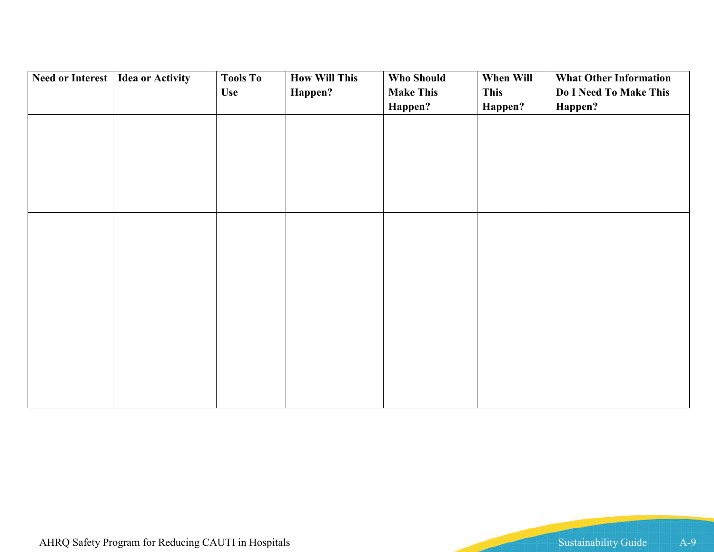| Need or Interest   Idea or Activity | <b>Tools To</b> | <b>How Will This</b> | <b>Who Should</b> | When Will   | <b>What Other Information</b> |
|-------------------------------------|-----------------|----------------------|-------------------|-------------|-------------------------------|
|                                     | <b>Use</b>      | Happen?              | <b>Make This</b>  | <b>This</b> | Do I Need To Make This        |
|                                     |                 |                      | Happen?           | Happen?     | Happen?                       |
|                                     |                 |                      |                   |             |                               |
|                                     |                 |                      |                   |             |                               |
|                                     |                 |                      |                   |             |                               |
|                                     |                 |                      |                   |             |                               |
|                                     |                 |                      |                   |             |                               |
|                                     |                 |                      |                   |             |                               |
|                                     |                 |                      |                   |             |                               |
|                                     |                 |                      |                   |             |                               |
|                                     |                 |                      |                   |             |                               |
|                                     |                 |                      |                   |             |                               |
|                                     |                 |                      |                   |             |                               |
|                                     |                 |                      |                   |             |                               |
|                                     |                 |                      |                   |             |                               |
|                                     |                 |                      |                   |             |                               |
|                                     |                 |                      |                   |             |                               |
|                                     |                 |                      |                   |             |                               |
|                                     |                 |                      |                   |             |                               |
|                                     |                 |                      |                   |             |                               |
|                                     |                 |                      |                   |             |                               |
|                                     |                 |                      |                   |             |                               |
|                                     |                 |                      |                   |             |                               |